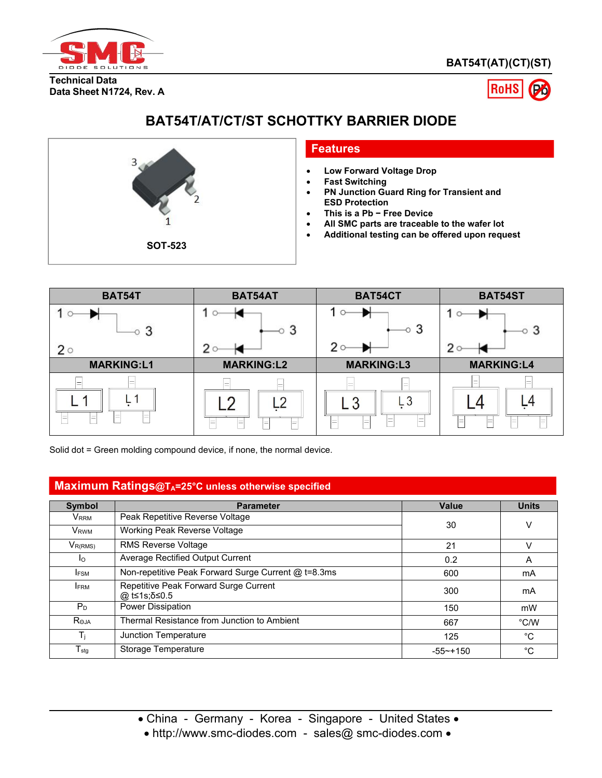

**BAT54T(AT)(CT)(ST)**

**Technical Data Data Sheet N1724, Rev. A**



# **BAT54T/AT/CT/ST SCHOTTKY BARRIER DIODE**



### **Features**

- **Low Forward Voltage Drop**
- **Fast Switching**
- **PN Junction Guard Ring for Transient and ESD Protection**
- **This is a Pb − Free Device**
- **All SMC parts are traceable to the wafer lot**
- **Additional testing can be offered upon request**



Solid dot = Green molding compound device, if none, the normal device.

## **Maximum Ratings@TA=25°C unless otherwise specified**

|                  | - U m                                                 |              |               |
|------------------|-------------------------------------------------------|--------------|---------------|
| Symbol           | <b>Parameter</b>                                      | <b>Value</b> | <b>Units</b>  |
| V <sub>RRM</sub> | Peak Repetitive Reverse Voltage                       |              |               |
| V <sub>RWM</sub> | Working Peak Reverse Voltage                          | 30           |               |
| $V_{R(RMS)}$     | <b>RMS Reverse Voltage</b>                            | 21           |               |
| $\overline{a}$   | Average Rectified Output Current                      | 0.2          | A             |
| IFSM             | Non-repetitive Peak Forward Surge Current @ t=8.3ms   | 600          | mA            |
| <b>IFRM</b>      | Repetitive Peak Forward Surge Current<br>@ t≤1s:δ≤0.5 | 300          | mA            |
| P <sub>D</sub>   | Power Dissipation                                     | 150          | mW            |
| Roja             | Thermal Resistance from Junction to Ambient           | 667          | $\degree$ C/W |
|                  | Junction Temperature                                  | 125          | °C            |
| $T_{\text{stg}}$ | Storage Temperature                                   | $-55$ ~+150  | °C            |

• http://www.smc-diodes.com - sales@ smc-diodes.com •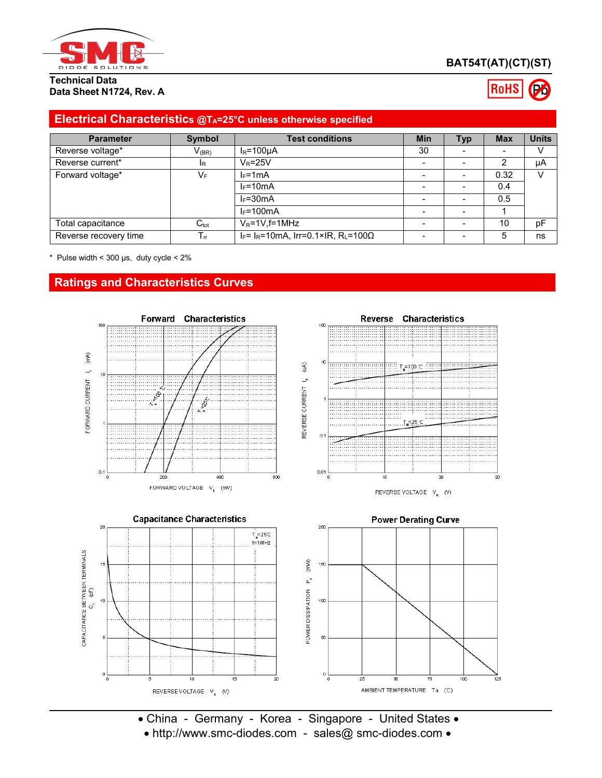

# **BAT54T(AT)(CT)(ST)**

#### **Technical Data Data Sheet N1724, Rev. A**

# **RoHS**

# **Electrical Characteristics @TA=25°C unless otherwise specified**

| <b>Parameter</b>      | Symbol           | <b>Test conditions</b>                                         | <b>Min</b> | <b>Typ</b> | <b>Max</b> | <b>Units</b> |
|-----------------------|------------------|----------------------------------------------------------------|------------|------------|------------|--------------|
| Reverse voltage*      | $V_{(BR)}$       | $I_R = 100 \mu A$                                              | 30         |            |            |              |
| Reverse current*      | IR.              | $V_R = 25V$                                                    |            |            | ◠          | μA           |
| Forward voltage*      | VF               | $l_F = 1mA$                                                    |            |            | 0.32       | V            |
|                       |                  | $I_F = 10mA$                                                   |            |            | 0.4        |              |
|                       |                  | $I_F = 30mA$                                                   |            |            | 0.5        |              |
|                       |                  | $I_F = 100mA$                                                  |            |            |            |              |
| Total capacitance     | $C_{\text{tot}}$ | $V_R = 1V$ , f=1MHz                                            |            |            | 10         | pF           |
| Reverse recovery time | $\mathsf{I}$ m   | $I_F$ = I <sub>R</sub> =10mA, Irr=0.1×IR, R <sub>L</sub> =100Ω |            |            | 5          | ns           |

 $*$  Pulse width < 300  $\mu$ s, duty cycle < 2%

# **Ratings and Characteristics Curves**





REVERSE VOLTAGE  $V_{R}$  (V)



• China - Germany - Korea - Singapore - United States • • http://www.smc-diodes.com - sales@ smc-diodes.com •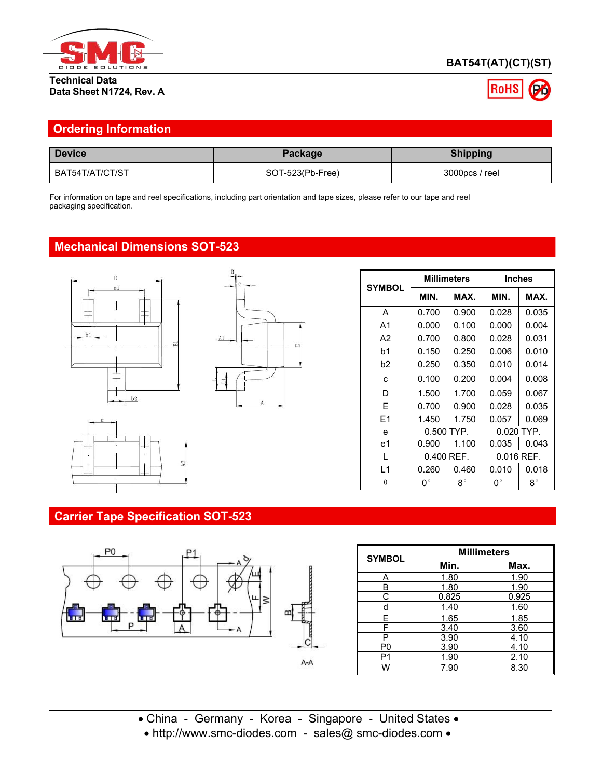

### **Technical Data Data Sheet N1724, Rev. A**

# **BAT54T(AT)(CT)(ST)**



| <b>Device</b>   | Package          | <b>Shipping</b> |
|-----------------|------------------|-----------------|
| BAT54T/AT/CT/ST | SOT-523(Pb-Free) | 3000pcs / reel  |

# **Mechanical Dimensions SOT-523**





|                |             | <b>Millimeters</b> |             | <b>Inches</b> |
|----------------|-------------|--------------------|-------------|---------------|
| <b>SYMBOL</b>  | MIN.        | MAX.               | MIN.        | MAX.          |
| A              | 0.700       | 0.900              | 0.028       | 0.035         |
| A1             | 0.000       | 0.100              | 0.000       | 0.004         |
| A2             | 0.700       | 0.800              | 0.028       | 0.031         |
| b1             | 0.150       | 0.250              | 0.006       | 0.010         |
| b <sub>2</sub> | 0.250       | 0.350              | 0.010       | 0.014         |
| c              | 0.100       | 0.200              | 0.004       | 0.008         |
| D              | 1.500       | 1.700              | 0.059       | 0.067         |
| E              | 0.700       | 0.900              | 0.028       | 0.035         |
| E1             | 1.450       | 1.750              | 0.057       | 0.069         |
| e              |             | $0.500$ TYP.       |             | $0.020$ TYP.  |
| e1             | 0.900       | 1.100              | 0.035       | 0.043         |
| L              |             | 0.400 REF.         |             | $0.016$ REF.  |
| L1             | 0.260       | 0.460              | 0.010       | 0.018         |
| $\theta$       | $0^{\circ}$ | $8^{\circ}$        | $0^{\circ}$ | $8^{\circ}$   |

# **Carrier Tape Specification SOT-523**



| <b>SYMBOL</b>  | <b>Millimeters</b> |       |  |
|----------------|--------------------|-------|--|
|                | Min.               | Max.  |  |
|                | 1.80               | 1.90  |  |
| R              | 1.80               | 1.90  |  |
| С              | 0.825              | 0.925 |  |
| d              | 1.40               | 1.60  |  |
| E              | 1.65               | 1.85  |  |
| F              | 3.40               | 3.60  |  |
| P              | 3.90               | 4.10  |  |
| P <sub>0</sub> | 3.90               | 4.10  |  |
| P1             | 1.90               |       |  |
| 7.90<br>W      |                    | 8.30  |  |

- China Germany Korea Singapore United States
- http://www.smc-diodes.com sales@ smc-diodes.com •